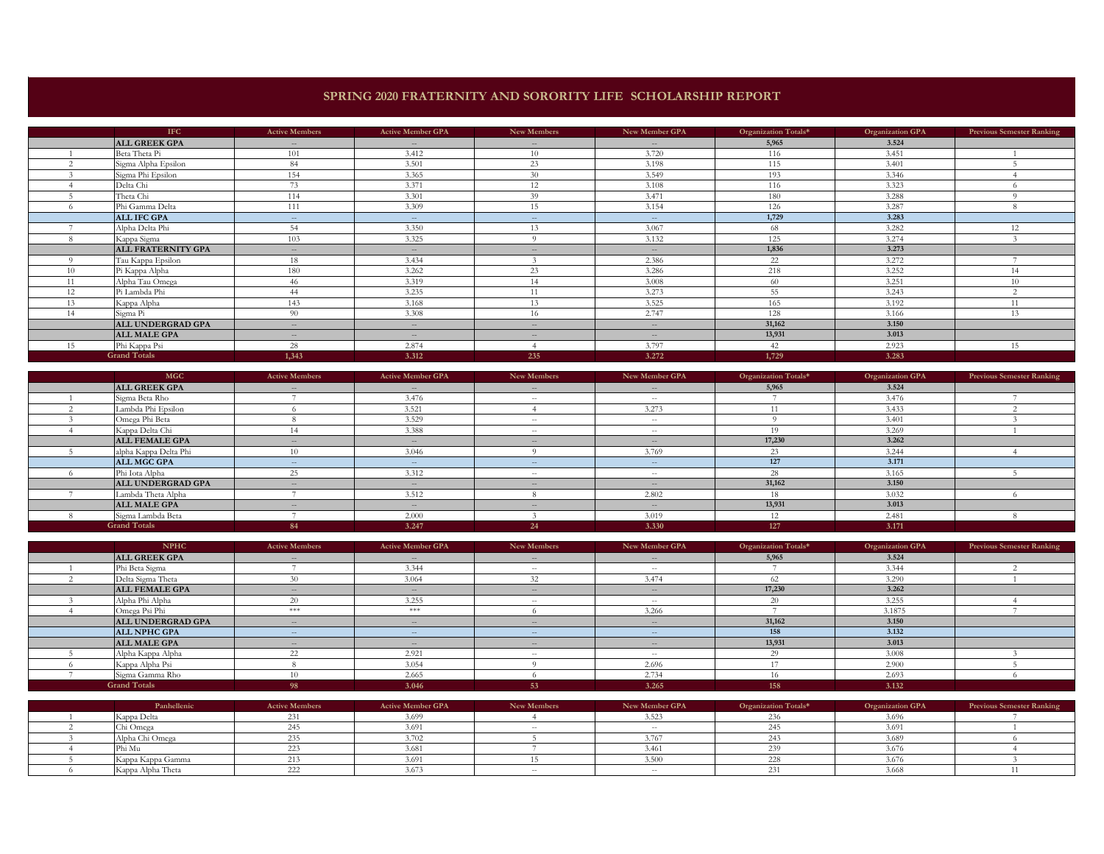## **SPRING 2020 FRATERNITY AND SORORITY LIFE SCHOLARSHIP REPORT**

|    | <b>IFC</b>           | <b>Active Members</b>    | <b>Active Member GPA</b>                       | New Members | New Member GPA           | Organization Totals* | Organization GPA | <b>Previous Semester Ranking</b> |
|----|----------------------|--------------------------|------------------------------------------------|-------------|--------------------------|----------------------|------------------|----------------------------------|
|    | <b>ALL GREEK GPA</b> | $\sim$                   | $\sim$                                         | $ -$        | $ -$                     | 5,965                | 3.524            |                                  |
|    | Beta Theta Pi        | 101                      | 3.412                                          | 10          | 3.720                    | 116                  | 3.451            |                                  |
|    | Sigma Alpha Epsilon  | 84                       | 3.501                                          | 23          | 3.198                    | 115                  | 3.401            |                                  |
|    | Sigma Phi Epsilon    | 154                      | 3.365                                          | 30          | 3.549                    | 193                  | 3.346            |                                  |
|    | Delta Chi            | 73                       | 3.371                                          | 12          | 3.108                    | 116                  | 3.323            |                                  |
|    | Theta Chi            | 114                      | 3.301                                          | 39          | 3.471                    | 180                  | 3.288            |                                  |
|    | Phi Gamma Delta      | 111                      | 3.309                                          | 15          | 3.154                    | 126                  | 3.287            |                                  |
|    | <b>ALL IFC GPA</b>   | $\sim$ $-$               | $-$                                            | $-$         | $- -$                    | 1,729                | 3.283            |                                  |
|    | Alpha Delta Phi      | 54                       | 3.350                                          | 13          | 3.067                    | 68                   | 3.282            | 12                               |
|    | Kappa Sigma          | 103                      | 3.325                                          | $\Omega$    | 3.132                    | 125                  | 3.274            |                                  |
|    | ALL FRATERNITY GPA   | $\sim$                   | $\sim$                                         | $ -$        | $-$                      | 1,836                | 3.273            |                                  |
|    | Tau Kappa Epsilon    | 18                       | 3.434                                          |             | 2.386                    | 22                   | 3.272            |                                  |
| 10 | Pi Kappa Alpha       | 180                      | 3.262                                          | 23          | 3.286                    | 218                  | 3.252            | 14                               |
|    | Alpha Tau Omega      | 46                       | 3.319                                          | 14          | 3.008                    | -60                  | 3.251            | 10                               |
| 12 | Pi Lambda Phi        | 44                       | 3.235                                          | 11          | 3.273                    | 55                   | 3.243            | $\sim$                           |
| 13 | Kappa Alpha          | 143                      | 3.168                                          | 13          | 3.525                    | 165                  | 3.192            | 11                               |
| 14 | Sigma Pi             | 90                       | 3.308                                          | 16          | 2.747                    | 128                  | 3.166            | 13                               |
|    | ALL UNDERGRAD GPA    | $\overline{\phantom{a}}$ | $\sim$                                         | $\sim$      | $\overline{\phantom{a}}$ | 31,162               | 3.150            |                                  |
|    | <b>ALL MALE GPA</b>  | $\overline{\phantom{a}}$ | $\hspace{0.1mm}-\hspace{0.1mm}-\hspace{0.1mm}$ | $\sim$      | $\cdots$                 | 13,931               | 3.013            |                                  |
| 15 | Phi Kappa Psi        | 28                       | 2.874                                          |             | 3.797                    | 42                   | 2.923            | 15                               |
|    | <b>Grand Totals</b>  | 1.343                    | 3.312                                          | 235         | 3.272                    | 1,729                | 3.283            |                                  |

| <b>MGC</b>            | <b>Active Members</b> | <b>Active Member GPA</b>                       | New Members   | New Member GPA | Organization Totals* | <b>Organization GPA</b> | <b>Previous Semester Ranking</b> |
|-----------------------|-----------------------|------------------------------------------------|---------------|----------------|----------------------|-------------------------|----------------------------------|
| <b>ALL GREEK GPA</b>  | $\qquad \qquad -$     | $\hspace{0.1mm}-\hspace{0.1mm}-\hspace{0.1mm}$ | $\sim$        | $\cdots$       | 5,965                | 3.524                   |                                  |
| Sigma Beta Rho        |                       | 3.476                                          | $\sim$ $-$    | $\sim$         |                      | 3.476                   |                                  |
| Lambda Phi Epsilon    |                       | 3.521                                          |               | 3.273          |                      | 3.433                   |                                  |
| Omega Phi Beta        |                       | 3.529                                          | $\sim$ $-$    | $\sim$         |                      | 3.401                   |                                  |
| Kappa Delta Chi       |                       | 3.388                                          | $\sim$ $-$    |                |                      | 3.269                   |                                  |
| <b>ALL FEMALE GPA</b> | $\frac{1}{2}$         | $ -$                                           | $\frac{1}{2}$ |                | 17,230               | 3.262                   |                                  |
| alpha Kappa Delta Phi |                       | 3.046                                          |               | 3.769          | 23                   | 3.244                   |                                  |
| <b>ALL MGC GPA</b>    | $\sim$                | $\sim$                                         | $-$           | $- -$          | 127                  | 3.171                   |                                  |
| Phi Iota Alpha        |                       | 3.312                                          | $\sim$ $-$    | $\sim$         | 28                   | 3.165                   |                                  |
| ALL UNDERGRAD GPA     | $-$                   | $-$                                            | $\frac{1}{2}$ |                | 31,162               | 3.150                   |                                  |
| Lambda Theta Alpha    |                       | 3.512                                          |               | 2.802          | 18                   | 3.032                   |                                  |
| <b>ALL MALE GPA</b>   | $\frac{1}{2}$         | $\cdots$                                       | $-$           | $ -$           | 13,931               | 3.013                   |                                  |
| Sigma Lambda Beta     |                       | 2.000                                          |               | 3.019          | 12                   | 2.481                   |                                  |
| <b>Grand Totals</b>   | 84                    | 3.247                                          | 24            | 3.330          | 127                  | 3.171                   |                                  |

| <b>NPHC</b>           | <b>Active Members</b>                          | <b>Active Member GPA</b> | New Members | New Member GPA | Organization Totals* | <b>Organization GPA</b> | <b>Previous Semester Ranking</b> |
|-----------------------|------------------------------------------------|--------------------------|-------------|----------------|----------------------|-------------------------|----------------------------------|
| <b>ALL GREEK GPA</b>  | $  \,$                                         | $\frac{1}{2}$            | $- -$       | $\cdots$       | 5,965                | 3.524                   |                                  |
| Phi Beta Sigma        |                                                | 3.344                    | $\sim$ $-$  | $- -$          |                      | 3.344                   |                                  |
| Delta Sigma Theta     |                                                | 3.064                    | 32          | 3.474          |                      | 3.290                   |                                  |
| <b>ALL FEMALE GPA</b> | $\overline{\phantom{a}}$                       | $-$                      | $\sim$      | $-$            | 17,230               | 3.262                   |                                  |
| Alpha Phi Alpha       |                                                | 3.255                    | $\sim$ $-$  | $\sim$         | 20                   | 3.255                   |                                  |
| Omega Psi Phi         | $*\times *$                                    | ***                      |             | 3.266          |                      | 3.1875                  |                                  |
| ALL UNDERGRAD GPA     | $\frac{1}{2}$                                  | $-$                      | $- -$       | $-$            | 31,162               | 3.150                   |                                  |
| <b>ALL NPHC GPA</b>   | $\hspace{0.1mm}-\hspace{0.1mm}-\hspace{0.1mm}$ | $-$                      | $-  \,$     | $-$            | 158                  | 3.132                   |                                  |
| <b>ALL MALE GPA</b>   | $\frac{1}{2}$                                  | $\frac{1}{2}$            | $- -$       | $ -$           | 13,931               | 3.013                   |                                  |
| Alpha Kappa Alpha     |                                                | 2.921                    | $\sim$ $-$  | $\sim$         | 29                   | 3.008                   |                                  |
| Kappa Alpha Psi       |                                                | 3.054                    |             | 2.696          |                      | 2.900                   |                                  |
| Sigma Gamma Rho       |                                                | 2.665                    |             | 2.734          | 16.                  | 2.693                   |                                  |
| <b>Grand Totals</b>   |                                                | 3.046                    | 53          | 3.265          | 158                  | 3.132                   |                                  |

| Panhellenic       | <b>Active Members</b> | <b>Active Member GPA</b> | New Members | New Member GPA | Organization Totals* | <b>Organization GPA</b> | <b>Previous Semester Ranking</b> |
|-------------------|-----------------------|--------------------------|-------------|----------------|----------------------|-------------------------|----------------------------------|
| Kappa Delta       |                       | 3.699                    |             |                |                      | 3.696                   |                                  |
| Chi Omega         |                       | 3.691                    | $- -$       |                |                      | 5.691                   |                                  |
| Alpha Chi Omega   |                       | 3702                     |             |                |                      | 3.689                   |                                  |
| Phi Mu            |                       | 3.681                    |             | $\overline{A}$ |                      | 3.676                   |                                  |
| Kappa Kappa Gamma |                       | 3.691                    |             | 3.500          |                      | 3.676                   |                                  |
| Kappa Alpha Theta |                       | 3.673                    |             |                |                      | 3.668                   |                                  |